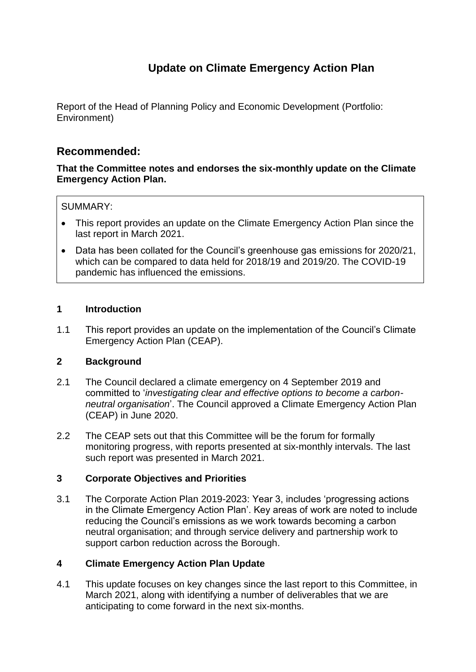# **Update on Climate Emergency Action Plan**

Report of the Head of Planning Policy and Economic Development (Portfolio: Environment)

# **Recommended:**

**That the Committee notes and endorses the six-monthly update on the Climate Emergency Action Plan.**

### SUMMARY:

- This report provides an update on the Climate Emergency Action Plan since the last report in March 2021.
- Data has been collated for the Council's greenhouse gas emissions for 2020/21, which can be compared to data held for 2018/19 and 2019/20. The COVID-19 pandemic has influenced the emissions.

### **1 Introduction**

1.1 This report provides an update on the implementation of the Council's Climate Emergency Action Plan (CEAP).

### **2 Background**

- 2.1 The Council declared a climate emergency on 4 September 2019 and committed to '*investigating clear and effective options to become a carbonneutral organisation*'. The Council approved a Climate Emergency Action Plan (CEAP) in June 2020.
- 2.2 The CEAP sets out that this Committee will be the forum for formally monitoring progress, with reports presented at six-monthly intervals. The last such report was presented in March 2021.

### **3 Corporate Objectives and Priorities**

3.1 The Corporate Action Plan 2019-2023: Year 3, includes 'progressing actions in the Climate Emergency Action Plan'. Key areas of work are noted to include reducing the Council's emissions as we work towards becoming a carbon neutral organisation; and through service delivery and partnership work to support carbon reduction across the Borough.

### **4 Climate Emergency Action Plan Update**

4.1 This update focuses on key changes since the last report to this Committee, in March 2021, along with identifying a number of deliverables that we are anticipating to come forward in the next six-months.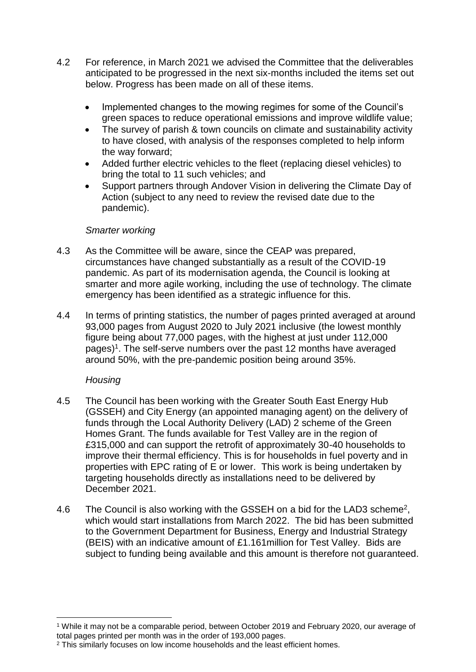- 4.2 For reference, in March 2021 we advised the Committee that the deliverables anticipated to be progressed in the next six-months included the items set out below. Progress has been made on all of these items.
	- Implemented changes to the mowing regimes for some of the Council's green spaces to reduce operational emissions and improve wildlife value;
	- The survey of parish & town councils on climate and sustainability activity to have closed, with analysis of the responses completed to help inform the way forward;
	- Added further electric vehicles to the fleet (replacing diesel vehicles) to bring the total to 11 such vehicles; and
	- Support partners through Andover Vision in delivering the Climate Day of Action (subject to any need to review the revised date due to the pandemic).

## *Smarter working*

- 4.3 As the Committee will be aware, since the CEAP was prepared, circumstances have changed substantially as a result of the COVID-19 pandemic. As part of its modernisation agenda, the Council is looking at smarter and more agile working, including the use of technology. The climate emergency has been identified as a strategic influence for this.
- 4.4 In terms of printing statistics, the number of pages printed averaged at around 93,000 pages from August 2020 to July 2021 inclusive (the lowest monthly figure being about 77,000 pages, with the highest at just under 112,000 pages) 1 . The self-serve numbers over the past 12 months have averaged around 50%, with the pre-pandemic position being around 35%.

# *Housing*

 $\overline{a}$ 

- 4.5 The Council has been working with the Greater South East Energy Hub (GSSEH) and City Energy (an appointed managing agent) on the delivery of funds through the Local Authority Delivery (LAD) 2 scheme of the Green Homes Grant. The funds available for Test Valley are in the region of £315,000 and can support the retrofit of approximately 30-40 households to improve their thermal efficiency. This is for households in fuel poverty and in properties with EPC rating of E or lower. This work is being undertaken by targeting households directly as installations need to be delivered by December 2021.
- 4.6 The Council is also working with the GSSEH on a bid for the LAD3 scheme<sup>2</sup>, which would start installations from March 2022. The bid has been submitted to the Government Department for Business, Energy and Industrial Strategy (BEIS) with an indicative amount of £1.161million for Test Valley. Bids are subject to funding being available and this amount is therefore not guaranteed.

<sup>1</sup> While it may not be a comparable period, between October 2019 and February 2020, our average of total pages printed per month was in the order of 193,000 pages.

<sup>&</sup>lt;sup>2</sup> This similarly focuses on low income households and the least efficient homes.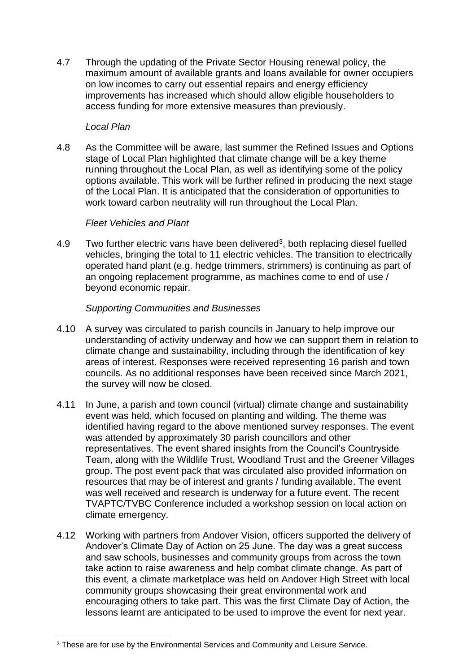4.7 Through the updating of the Private Sector Housing renewal policy, the maximum amount of available grants and loans available for owner occupiers on low incomes to carry out essential repairs and energy efficiency improvements has increased which should allow eligible householders to access funding for more extensive measures than previously.

## *Local Plan*

4.8 As the Committee will be aware, last summer the Refined Issues and Options stage of Local Plan highlighted that climate change will be a key theme running throughout the Local Plan, as well as identifying some of the policy options available. This work will be further refined in producing the next stage of the Local Plan. It is anticipated that the consideration of opportunities to work toward carbon neutrality will run throughout the Local Plan.

## *Fleet Vehicles and Plant*

4.9 Two further electric vans have been delivered<sup>3</sup>, both replacing diesel fuelled vehicles, bringing the total to 11 electric vehicles. The transition to electrically operated hand plant (e.g. hedge trimmers, strimmers) is continuing as part of an ongoing replacement programme, as machines come to end of use / beyond economic repair.

## *Supporting Communities and Businesses*

- 4.10 A survey was circulated to parish councils in January to help improve our understanding of activity underway and how we can support them in relation to climate change and sustainability, including through the identification of key areas of interest. Responses were received representing 16 parish and town councils. As no additional responses have been received since March 2021, the survey will now be closed.
- 4.11 In June, a parish and town council (virtual) climate change and sustainability event was held, which focused on planting and wilding. The theme was identified having regard to the above mentioned survey responses. The event was attended by approximately 30 parish councillors and other representatives. The event shared insights from the Council's Countryside Team, along with the Wildlife Trust, Woodland Trust and the Greener Villages group. The post event pack that was circulated also provided information on resources that may be of interest and grants / funding available. The event was well received and research is underway for a future event. The recent TVAPTC/TVBC Conference included a workshop session on local action on climate emergency.
- 4.12 Working with partners from Andover Vision, officers supported the delivery of Andover's Climate Day of Action on 25 June. The day was a great success and saw schools, businesses and community groups from across the town take action to raise awareness and help combat climate change. As part of this event, a climate marketplace was held on Andover High Street with local community groups showcasing their great environmental work and encouraging others to take part. This was the first Climate Day of Action, the lessons learnt are anticipated to be used to improve the event for next year.

 $\overline{a}$ <sup>3</sup> These are for use by the Environmental Services and Community and Leisure Service.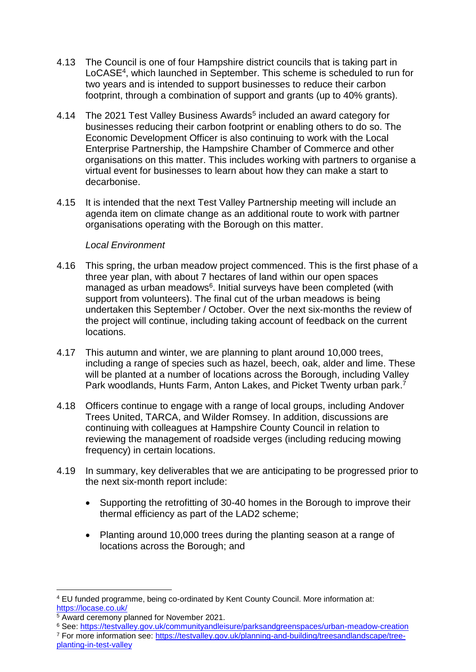- 4.13 The Council is one of four Hampshire district councils that is taking part in LoCASE<sup>4</sup>, which launched in September. This scheme is scheduled to run for two years and is intended to support businesses to reduce their carbon footprint, through a combination of support and grants (up to 40% grants).
- 4.14 The 2021 Test Valley Business Awards<sup>5</sup> included an award category for businesses reducing their carbon footprint or enabling others to do so. The Economic Development Officer is also continuing to work with the Local Enterprise Partnership, the Hampshire Chamber of Commerce and other organisations on this matter. This includes working with partners to organise a virtual event for businesses to learn about how they can make a start to decarbonise.
- 4.15 It is intended that the next Test Valley Partnership meeting will include an agenda item on climate change as an additional route to work with partner organisations operating with the Borough on this matter.

## *Local Environment*

- 4.16 This spring, the urban meadow project commenced. This is the first phase of a three year plan, with about 7 hectares of land within our open spaces managed as urban meadows<sup>6</sup>. Initial surveys have been completed (with support from volunteers). The final cut of the urban meadows is being undertaken this September / October. Over the next six-months the review of the project will continue, including taking account of feedback on the current locations.
- 4.17 This autumn and winter, we are planning to plant around 10,000 trees, including a range of species such as hazel, beech, oak, alder and lime. These will be planted at a number of locations across the Borough, including Valley Park woodlands, Hunts Farm, Anton Lakes, and Picket Twenty urban park. 7
- 4.18 Officers continue to engage with a range of local groups, including Andover Trees United, TARCA, and Wilder Romsey. In addition, discussions are continuing with colleagues at Hampshire County Council in relation to reviewing the management of roadside verges (including reducing mowing frequency) in certain locations.
- 4.19 In summary, key deliverables that we are anticipating to be progressed prior to the next six-month report include:
	- Supporting the retrofitting of 30-40 homes in the Borough to improve their thermal efficiency as part of the LAD2 scheme;
	- Planting around 10,000 trees during the planting season at a range of locations across the Borough; and

<sup>6</sup> See:<https://testvalley.gov.uk/communityandleisure/parksandgreenspaces/urban-meadow-creation> <sup>7</sup> For more information see: [https://testvalley.gov.uk/planning-and-building/treesandlandscape/tree-](https://testvalley.gov.uk/planning-and-building/treesandlandscape/tree-planting-in-test-valley)

 $\overline{a}$ <sup>4</sup> EU funded programme, being co-ordinated by Kent County Council. More information at: <https://locase.co.uk/>

<sup>&</sup>lt;sup>5</sup> Award ceremony planned for November 2021.

[planting-in-test-valley](https://testvalley.gov.uk/planning-and-building/treesandlandscape/tree-planting-in-test-valley)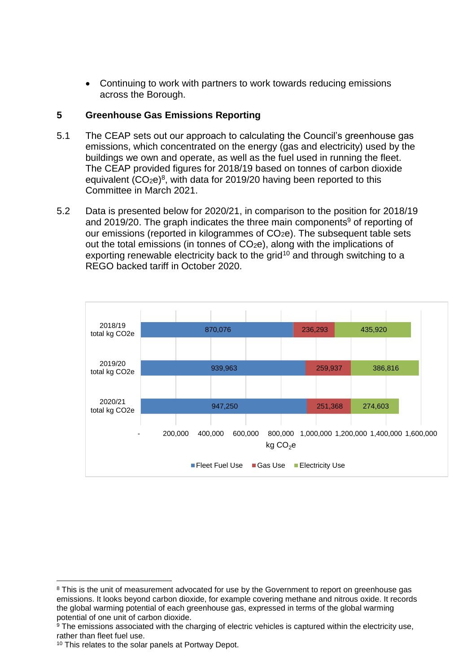Continuing to work with partners to work towards reducing emissions across the Borough.

# **5 Greenhouse Gas Emissions Reporting**

- 5.1 The CEAP sets out our approach to calculating the Council's greenhouse gas emissions, which concentrated on the energy (gas and electricity) used by the buildings we own and operate, as well as the fuel used in running the fleet. The CEAP provided figures for 2018/19 based on tonnes of carbon dioxide equivalent  $(CO<sub>2</sub>e)<sup>8</sup>$ , with data for 2019/20 having been reported to this Committee in March 2021.
- 5.2 Data is presented below for 2020/21, in comparison to the position for 2018/19 and 2019/20. The graph indicates the three main components<sup>9</sup> of reporting of our emissions (reported in kilogrammes of CO<sub>2</sub>e). The subsequent table sets out the total emissions (in tonnes of  $CO<sub>2</sub>e$ ), along with the implications of exporting renewable electricity back to the grid<sup>10</sup> and through switching to a REGO backed tariff in October 2020.



 $\overline{a}$ <sup>8</sup> This is the unit of measurement advocated for use by the Government to report on greenhouse gas emissions. It looks beyond carbon dioxide, for example covering methane and nitrous oxide. It records the global warming potential of each greenhouse gas, expressed in terms of the global warming potential of one unit of carbon dioxide.

 $9$  The emissions associated with the charging of electric vehicles is captured within the electricity use, rather than fleet fuel use.

<sup>&</sup>lt;sup>10</sup> This relates to the solar panels at Portway Depot.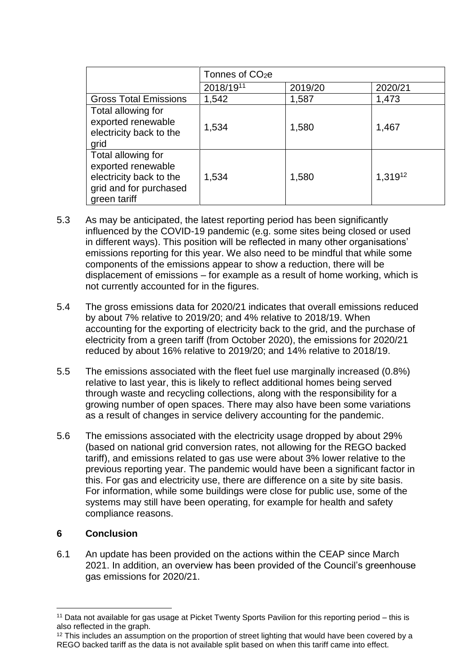|                                                                                                               | Tonnes of CO <sub>2</sub> e |         |         |
|---------------------------------------------------------------------------------------------------------------|-----------------------------|---------|---------|
|                                                                                                               | 2018/1911                   | 2019/20 | 2020/21 |
| <b>Gross Total Emissions</b>                                                                                  | 1,542                       | 1,587   | 1,473   |
| Total allowing for<br>exported renewable<br>electricity back to the<br>grid                                   | 1,534                       | 1,580   | 1,467   |
| Total allowing for<br>exported renewable<br>electricity back to the<br>grid and for purchased<br>green tariff | 1,534                       | 1,580   | 1,31912 |

- 5.3 As may be anticipated, the latest reporting period has been significantly influenced by the COVID-19 pandemic (e.g. some sites being closed or used in different ways). This position will be reflected in many other organisations' emissions reporting for this year. We also need to be mindful that while some components of the emissions appear to show a reduction, there will be displacement of emissions – for example as a result of home working, which is not currently accounted for in the figures.
- 5.4 The gross emissions data for 2020/21 indicates that overall emissions reduced by about 7% relative to 2019/20; and 4% relative to 2018/19. When accounting for the exporting of electricity back to the grid, and the purchase of electricity from a green tariff (from October 2020), the emissions for 2020/21 reduced by about 16% relative to 2019/20; and 14% relative to 2018/19.
- 5.5 The emissions associated with the fleet fuel use marginally increased (0.8%) relative to last year, this is likely to reflect additional homes being served through waste and recycling collections, along with the responsibility for a growing number of open spaces. There may also have been some variations as a result of changes in service delivery accounting for the pandemic.
- 5.6 The emissions associated with the electricity usage dropped by about 29% (based on national grid conversion rates, not allowing for the REGO backed tariff), and emissions related to gas use were about 3% lower relative to the previous reporting year. The pandemic would have been a significant factor in this. For gas and electricity use, there are difference on a site by site basis. For information, while some buildings were close for public use, some of the systems may still have been operating, for example for health and safety compliance reasons.

# **6 Conclusion**

6.1 An update has been provided on the actions within the CEAP since March 2021. In addition, an overview has been provided of the Council's greenhouse gas emissions for 2020/21.

 $\overline{a}$ <sup>11</sup> Data not available for gas usage at Picket Twenty Sports Pavilion for this reporting period – this is also reflected in the graph.

<sup>&</sup>lt;sup>12</sup> This includes an assumption on the proportion of street lighting that would have been covered by a REGO backed tariff as the data is not available split based on when this tariff came into effect.